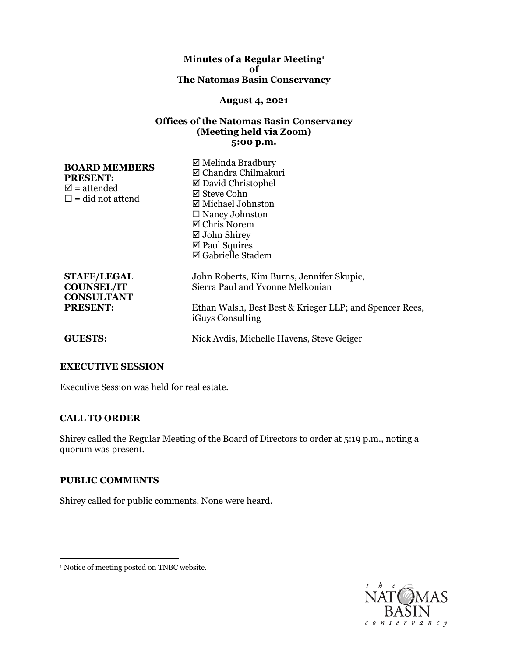#### **Minutes of a Regular Meeting1 of The Natomas Basin Conservancy**

#### **August 4, 2021**

### **Offices of the Natomas Basin Conservancy (Meeting held via Zoom) 5:00 p.m.**

| <b>BOARD MEMBERS</b><br><b>PRESENT:</b><br>$\mathbf{\nabla}$ = attended<br>$\square$ = did not attend | $\boxtimes$ Melinda Bradbury<br>⊠ Chandra Chilmakuri<br>$\boxtimes$ David Christophel<br>⊠ Steve Cohn<br>$\boxtimes$ Michael Johnston<br>$\Box$ Nancy Johnston<br>$\boxtimes$ Chris Norem<br>$\boxtimes$ John Shirey<br>$\boxtimes$ Paul Squires<br>$\boxtimes$ Gabrielle Stadem |
|-------------------------------------------------------------------------------------------------------|----------------------------------------------------------------------------------------------------------------------------------------------------------------------------------------------------------------------------------------------------------------------------------|
| <b>STAFF/LEGAL</b><br><b>COUNSEL/IT</b><br><b>CONSULTANT</b><br><b>PRESENT:</b>                       | John Roberts, Kim Burns, Jennifer Skupic,<br>Sierra Paul and Yvonne Melkonian<br>Ethan Walsh, Best Best & Krieger LLP; and Spencer Rees,<br><i>iGuys Consulting</i>                                                                                                              |
| <b>GUESTS:</b>                                                                                        | Nick Avdis, Michelle Havens, Steve Geiger                                                                                                                                                                                                                                        |

## **EXECUTIVE SESSION**

Executive Session was held for real estate.

## **CALL TO ORDER**

 Shirey called the Regular Meeting of the Board of Directors to order at 5:19 p.m., noting a quorum was present.

## **PUBLIC COMMENTS**

Shirey called for public comments. None were heard.



<sup>&</sup>lt;sup>1</sup> Notice of meeting posted on TNBC website.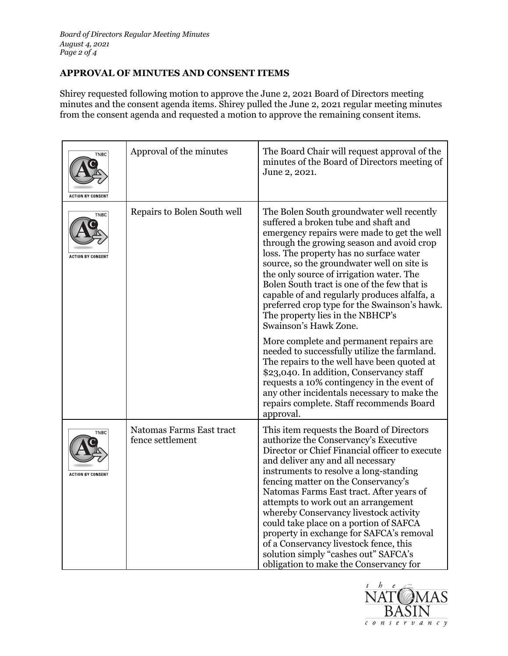# **APPROVAL OF MINUTES AND CONSENT ITEMS**

 Shirey requested following motion to approve the June 2, 2021 Board of Directors meeting ŗ minutes and the consent agenda items. Shirey pulled the June 2, 2021 regular meeting minutes from the consent agenda and requested a motion to approve the remaining consent items.

| <b>TNBC</b><br><b>ACTION BY CONSENT</b> | Approval of the minutes                      | The Board Chair will request approval of the<br>minutes of the Board of Directors meeting of<br>June 2, 2021.                                                                                                                                                                                                                                                                                                                                                                                                                                                                                                              |
|-----------------------------------------|----------------------------------------------|----------------------------------------------------------------------------------------------------------------------------------------------------------------------------------------------------------------------------------------------------------------------------------------------------------------------------------------------------------------------------------------------------------------------------------------------------------------------------------------------------------------------------------------------------------------------------------------------------------------------------|
| <b>TNBC</b><br><b>ACTION BY CONSENT</b> | Repairs to Bolen South well                  | The Bolen South groundwater well recently<br>suffered a broken tube and shaft and<br>emergency repairs were made to get the well<br>through the growing season and avoid crop<br>loss. The property has no surface water<br>source, so the groundwater well on site is<br>the only source of irrigation water. The<br>Bolen South tract is one of the few that is<br>capable of and regularly produces alfalfa, a<br>preferred crop type for the Swainson's hawk.<br>The property lies in the NBHCP's<br>Swainson's Hawk Zone.<br>More complete and permanent repairs are.<br>needed to successfully utilize the farmland. |
|                                         |                                              | The repairs to the well have been quoted at<br>\$23,040. In addition, Conservancy staff<br>requests a 10% contingency in the event of<br>any other incidentals necessary to make the<br>repairs complete. Staff recommends Board<br>approval.                                                                                                                                                                                                                                                                                                                                                                              |
| <b>TNBC</b><br><b>ACTION BY CONSENT</b> | Natomas Farms East tract<br>fence settlement | This item requests the Board of Directors<br>authorize the Conservancy's Executive<br>Director or Chief Financial officer to execute<br>and deliver any and all necessary<br>instruments to resolve a long-standing<br>fencing matter on the Conservancy's<br>Natomas Farms East tract. After years of<br>attempts to work out an arrangement<br>whereby Conservancy livestock activity<br>could take place on a portion of SAFCA<br>property in exchange for SAFCA's removal<br>of a Conservancy livestock fence, this<br>solution simply "cashes out" SAFCA's<br>obligation to make the Conservancy for                  |

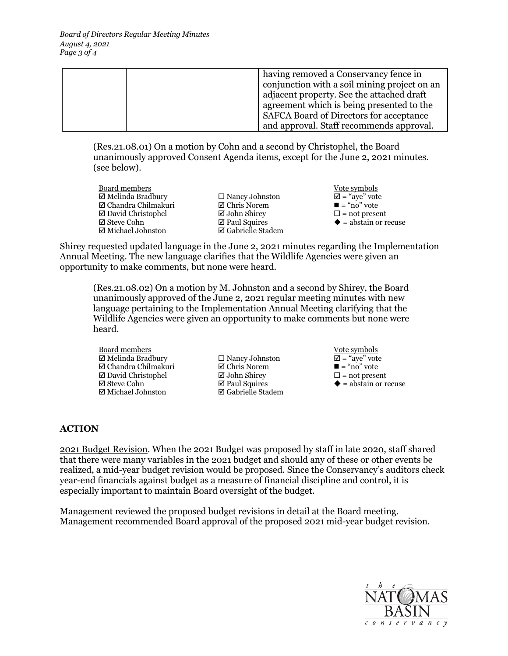|  | having removed a Conservancy fence in          |
|--|------------------------------------------------|
|  | conjunction with a soil mining project on an   |
|  | adjacent property. See the attached draft      |
|  | agreement which is being presented to the      |
|  | <b>SAFCA Board of Directors for acceptance</b> |
|  | and approval. Staff recommends approval.       |

 ([Res.21.08.01\)](https://Res.21.08.01) On a motion by Cohn and a second by Christophel, the Board unanimously approved Consent Agenda items, except for the June 2, 2021 minutes. (see below).

- Board members Vote symbols  $\Box$  Melinda Bradbury  $\Box$  Nancy Johnston  $\Box$  = "aye" vote  $\Box$  Chandra Chilmakuri  $\Box$  Chris Norem  $\Box$  = "no" vote  $\Box$  Chandra Chilmakuri  $\Box$  Chris Norem  $\Box$  = "no" vote  $\Box$  David Christophel  $\Box$  John Shirey  $\Box$  = not present • David Christophel • John Shirey • = not present • Steve Cohn • Paul Squires • = abstain or recuse
	- $\boxtimes$  Gabrielle Stadem
- 

 Shirey requested updated language in the June 2, 2021 minutes regarding the Implementation Annual Meeting. The new language clarifies that the Wildlife Agencies were given an opportunity to make comments, but none were heard.

 ([Res.21.08.02](https://Res.21.08.02)) On a motion by M. Johnston and a second by Shirey, the Board unanimously approved of the June 2, 2021 regular meeting minutes with new Wildlife Agencies were given an opportunity to make comments but none were language pertaining to the Implementation Annual Meeting clarifying that the heard.

Board members **Board members COLLEGE**  $\Box$  Melinda Bradbury  $\Box$  Nancy Johnston  $\Box$  = "aye" vote  $\Box$  Chandra Chilmakuri  $\Box$  Chris Norem  $\Box$  = "no" vote  $\boxtimes$  Chandra Chilmakuri  $\boxtimes$  Chris Norem  $\boxtimes$  David Christophel  $\boxtimes$  John Shirev  $\Box$  David Christophel  $\Box$  John Shirey  $\Box$  = not present  $\Box$  Steve Cohn  $\Box$  Paul Squires  $\blacklozenge$  = abstain or re  $\boxtimes$  Michael Johnston

- $\Box$  Paul Squires  $\Diamond$  = abstain or recuse  $\Box$  Gabrielle Stadem
- 

# **ACTION**

 2021 Budget Revision. When the 2021 Budget was proposed by staff in late 2020, staff shared especially important to maintain Board oversight of the budget. that there were many variables in the 2021 budget and should any of these or other events be realized, a mid-year budget revision would be proposed. Since the Conservancy's auditors check year-end financials against budget as a measure of financial discipline and control, it is

 Management reviewed the proposed budget revisions in detail at the Board meeting. Management recommended Board approval of the proposed 2021 mid-year budget revision.